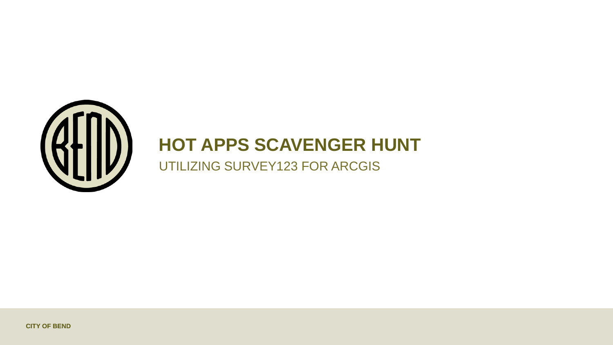

# **HOT APPS SCAVENGER HUNT**

UTILIZING SURVEY123 FOR ARCGIS

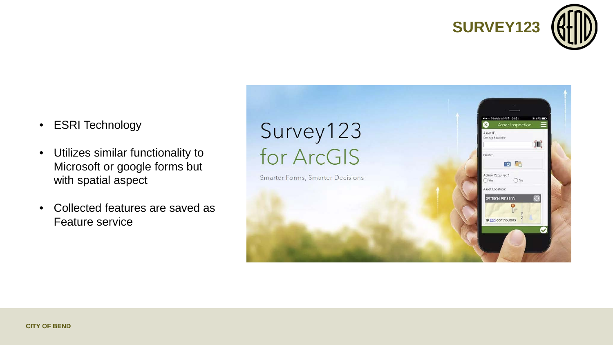

- ESRI Technology
- Utilizes similar functionality to Microsoft or google forms but with spatial aspect
- Collected features are saved as Feature service

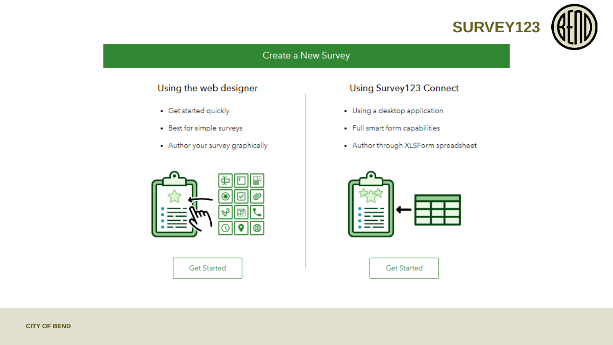

### Create a New Survey

### Using the web designer

- · Get started quickly
- Best for simple surveys
- Author your survey graphically



**Get Started** 

## Using Survey123 Connect

- Using a desktop application
- · Full smart form capabilities
- Author through XLSForm spreadsheet



**Get Started**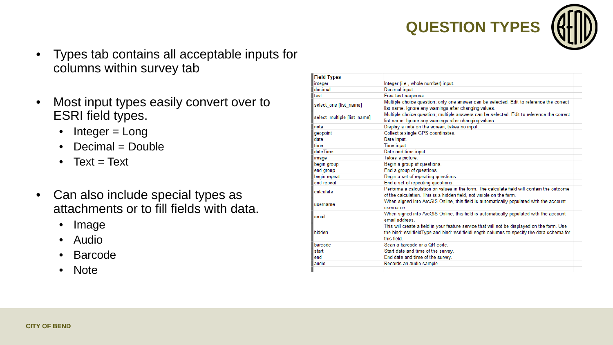

- Types tab contains all acceptable inputs for columns within survey tab
- Most input types easily convert over to ESRI field types.
	- Integer = Long
	- Decimal = Double
	- Text = Text
- Can also include special types as attachments or to fill fields with data.
	- Image
	- Audio
	- Barcode
	- Note

| <b>Field Types</b>          |                                                                                                                                                                                            |  |  |  |
|-----------------------------|--------------------------------------------------------------------------------------------------------------------------------------------------------------------------------------------|--|--|--|
| integer                     | Integer (i.e., whole number) input.                                                                                                                                                        |  |  |  |
| decimal                     | Decimal input.                                                                                                                                                                             |  |  |  |
| text                        | Free text response.                                                                                                                                                                        |  |  |  |
| select one [list name]      | Multiple choice question; only one answer can be selected. Edit to reference the correct                                                                                                   |  |  |  |
|                             | list name. Ignore any warnings after changing values.                                                                                                                                      |  |  |  |
| select multiple [list name] | Multiple choice question; multiple answers can be selected. Edit to reference the correct                                                                                                  |  |  |  |
|                             | list name. Ignore any warnings after changing values.                                                                                                                                      |  |  |  |
| note                        | Display a note on the screen, takes no input.                                                                                                                                              |  |  |  |
| geopoint                    | Collect a single GPS coordinates.                                                                                                                                                          |  |  |  |
| date                        | Date input.                                                                                                                                                                                |  |  |  |
| time                        | Time input.                                                                                                                                                                                |  |  |  |
| dateTime                    | Date and time input.                                                                                                                                                                       |  |  |  |
| image                       | Takes a picture.                                                                                                                                                                           |  |  |  |
| begin group                 | Begin a group of questions.                                                                                                                                                                |  |  |  |
| end group                   | End a group of questions.                                                                                                                                                                  |  |  |  |
| begin repeat                | Begin a set of repeating questions.                                                                                                                                                        |  |  |  |
| end repeat                  | End a set of repeating questions.                                                                                                                                                          |  |  |  |
| calculate                   | Performs a calculation on values in the form. The calculate field will contain the outcome<br>of the calculation. This is a hidden field, not visible on the form.                         |  |  |  |
| username                    | When signed into ArcGIS Online, this field is automatically populated with the account<br>username.                                                                                        |  |  |  |
| email                       | When signed into ArcGIS Online, this field is automatically populated with the account<br>email address.                                                                                   |  |  |  |
| hidden                      | This will create a field in your feature service that will not be displayed on the form. Use<br>the bind::esri:fieldType and bind::esri:fieldLength columns to specify the data schema for |  |  |  |
|                             | this field                                                                                                                                                                                 |  |  |  |
| barcode                     | Scan a barcode or a QR code                                                                                                                                                                |  |  |  |
| start                       | Start date and time of the survey.                                                                                                                                                         |  |  |  |
| end                         | End date and time of the survey.                                                                                                                                                           |  |  |  |
| audio                       | Records an audio sample.                                                                                                                                                                   |  |  |  |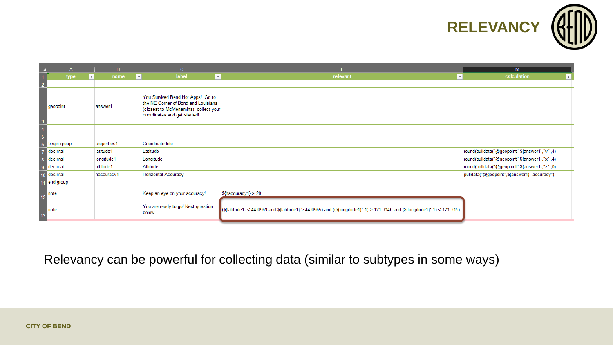

|                                                                     | $\mathsf{A}$ |                          | $\mathbf{B}$ |                           | $\mathbf{C}$                                                                                                                                      |                                                                                                                              | M                                              |
|---------------------------------------------------------------------|--------------|--------------------------|--------------|---------------------------|---------------------------------------------------------------------------------------------------------------------------------------------------|------------------------------------------------------------------------------------------------------------------------------|------------------------------------------------|
|                                                                     | type         | $\vert \mathbf{v} \vert$ | name         | $\boldsymbol{\mathrm{v}}$ | label<br>$\mathbf{v}$                                                                                                                             | relevant<br>$\overline{\mathbf{v}}$                                                                                          | calculation<br>×.                              |
| $\begin{array}{c c}\n\hline\n1 \\ \hline\n2\n\end{array}$           |              |                          |              |                           |                                                                                                                                                   |                                                                                                                              |                                                |
|                                                                     | geopoint     |                          | answer1      |                           | You Survived Bend Hot Apps! Go to<br>the NE Corner of Bond and Louisiana<br>(closest to McMenamins), collect your<br>coordinates and get started! |                                                                                                                              |                                                |
| $\begin{array}{c c}\n3 \\ 4 \\ \hline\n5 \\ \hline\n6\n\end{array}$ |              |                          |              |                           |                                                                                                                                                   |                                                                                                                              |                                                |
|                                                                     |              |                          |              |                           |                                                                                                                                                   |                                                                                                                              |                                                |
|                                                                     | begin group  |                          | properties1  |                           | Coordinate Info                                                                                                                                   |                                                                                                                              |                                                |
| $\overline{7}$                                                      | decimal      |                          | latitude1    |                           | Latitude                                                                                                                                          |                                                                                                                              | round(pulldata("@geopoint",\${answer1},"y"),4) |
| $\overline{\mathbf{8}}$                                             | decimal      |                          | longitude1   |                           | Longitude                                                                                                                                         |                                                                                                                              | round(pulldata("@geopoint",\${answer1},"x"),4) |
| $\overline{9}$                                                      | decimal      |                          | altitude1    |                           | Altitude                                                                                                                                          |                                                                                                                              | round(pulldata("@geopoint",\${answer1},"z"),0) |
|                                                                     | $10$ decimal |                          | haccuracy1   |                           | <b>Horizontal Accuracy</b>                                                                                                                        |                                                                                                                              | pulldata("@geopoint",\${answer1},"accuracy")   |
| 11                                                                  | end group    |                          |              |                           |                                                                                                                                                   |                                                                                                                              |                                                |
| 12                                                                  | note         |                          |              |                           | Keep an eye on your accuracy!                                                                                                                     | $ \$$ {haccuracy1} > 20                                                                                                      |                                                |
| $\frac{13}{2}$                                                      | note         |                          |              |                           | You are ready to go! Next question<br>below.                                                                                                      | [\${ atitude1} < 44.0569 and \${ atitude1} > 44.0565) and ((\${ ongitude1}*-1) > 121.3146 and (\${ ongitude1}*-1) < 121.315) |                                                |
|                                                                     |              |                          |              |                           |                                                                                                                                                   |                                                                                                                              |                                                |

Relevancy can be powerful for collecting data (similar to subtypes in some ways)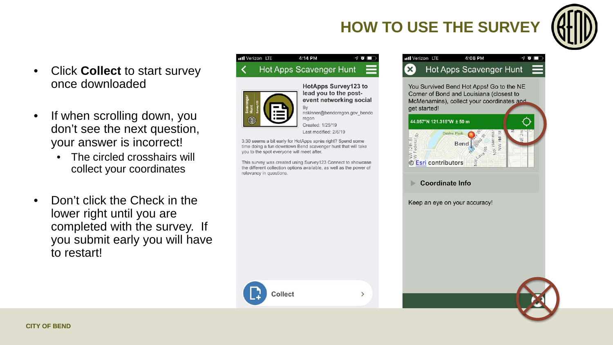## **HOW TO USE THE SURVEY**



- Click **Collect** to start survey once downloaded
- If when scrolling down, you don't see the next question, your answer is incorrect!
	- The circled crosshairs will collect your coordinates
- Don't click the Check in the lower right until you are completed with the survey. If you submit early you will have to restart!

#### 4:14 PM utl Verizon LTE  $\nabla$  or  $\blacksquare$ Hot Apps Scavenger Hunt



Collect

HotApps Survey123 to lead you to the postevent networking social

 $\rightarrow$ 

nskinner@bendoregon.gov\_bendo regon

Created: 1/25/19 Last modified: 2/6/19

3:30 seems a bit early for HotApps après right? Spend some time doing a fun downtown Bend scavenger hunt that will take you to the spot everyone will meet after.

This survey was created using Survey123 Connect to showcase the different collection options available, as well as the power of relevancy in questions.